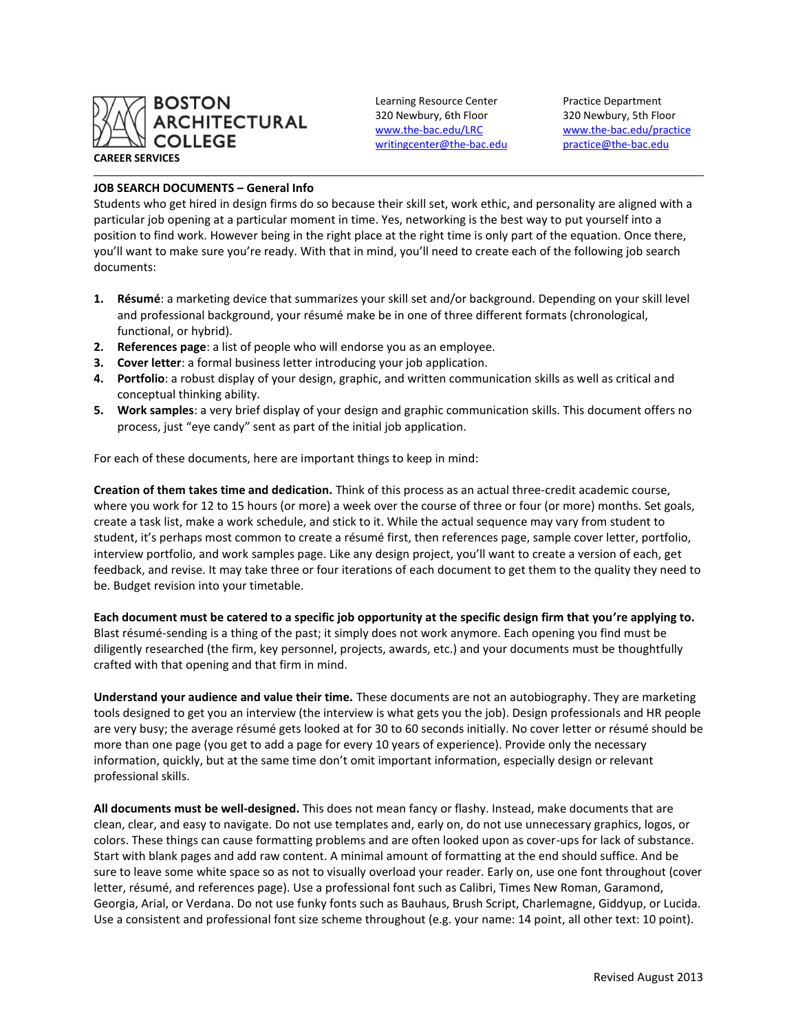

Learning Resource Center Practice Department 320 Newbury, 6th Floor 320 Newbury, 5th Floor [writingcenter@the-bac.edu](mailto:writingcenter@the-bac.edu) [practice@the-bac.edu](mailto:practice@the-bac.edu)

[www.the-bac.edu/LRC](http://www.the-bac.edu/LRC) [www.the-bac.edu/practice](http://www.the-bac.edu/practice)

## **JOB SEARCH DOCUMENTS – General Info**

Students who get hired in design firms do so because their skill set, work ethic, and personality are aligned with a particular job opening at a particular moment in time. Yes, networking is the best way to put yourself into a position to find work. However being in the right place at the right time is only part of the equation. Once there, you'll want to make sure you're ready. With that in mind, you'll need to create each of the following job search documents:

- **1. Résumé**: a marketing device that summarizes your skill set and/or background. Depending on your skill level and professional background, your résumé make be in one of three different formats (chronological, functional, or hybrid).
- **2. References page**: a list of people who will endorse you as an employee.
- **3. Cover letter**: a formal business letter introducing your job application.
- **4. Portfolio**: a robust display of your design, graphic, and written communication skills as well as critical and conceptual thinking ability.
- **5. Work samples**: a very brief display of your design and graphic communication skills. This document offers no process, just "eye candy" sent as part of the initial job application.

For each of these documents, here are important things to keep in mind:

**Creation of them takes time and dedication.** Think of this process as an actual three-credit academic course, where you work for 12 to 15 hours (or more) a week over the course of three or four (or more) months. Set goals, create a task list, make a work schedule, and stick to it. While the actual sequence may vary from student to student, it's perhaps most common to create a résumé first, then references page, sample cover letter, portfolio, interview portfolio, and work samples page. Like any design project, you'll want to create a version of each, get feedback, and revise. It may take three or four iterations of each document to get them to the quality they need to be. Budget revision into your timetable.

**Each document must be catered to a specific job opportunity at the specific design firm that you're applying to.**  Blast résumé-sending is a thing of the past; it simply does not work anymore. Each opening you find must be diligently researched (the firm, key personnel, projects, awards, etc.) and your documents must be thoughtfully crafted with that opening and that firm in mind.

**Understand your audience and value their time.** These documents are not an autobiography. They are marketing tools designed to get you an interview (the interview is what gets you the job). Design professionals and HR people are very busy; the average résumé gets looked at for 30 to 60 seconds initially. No cover letter or résumé should be more than one page (you get to add a page for every 10 years of experience). Provide only the necessary information, quickly, but at the same time don't omit important information, especially design or relevant professional skills.

**All documents must be well-designed.** This does not mean fancy or flashy. Instead, make documents that are clean, clear, and easy to navigate. Do not use templates and, early on, do not use unnecessary graphics, logos, or colors. These things can cause formatting problems and are often looked upon as cover-ups for lack of substance. Start with blank pages and add raw content. A minimal amount of formatting at the end should suffice. And be sure to leave some white space so as not to visually overload your reader. Early on, use one font throughout (cover letter, résumé, and references page). Use a professional font such as Calibri, Times New Roman, Garamond, Georgia, Arial, or Verdana. Do not use funky fonts such as Bauhaus, Brush Script, Charlemagne, Giddyup, or Lucida. Use a consistent and professional font size scheme throughout (e.g. your name: 14 point, all other text: 10 point).